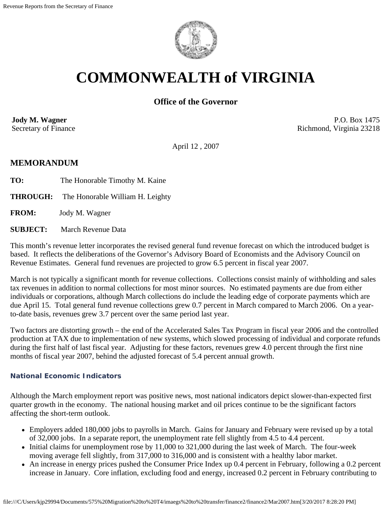

# **COMMONWEALTH of VIRGINIA**

# **Office of the Governor**

**Jody M. Wagner**  Secretary of Finance

P.O. Box 1475 Richmond, Virginia 23218

April 12 , 2007

# **MEMORANDUM**

**TO:** The Honorable Timothy M. Kaine

**THROUGH:** The Honorable William H. Leighty

**FROM:** Jody M. Wagner

**SUBJECT:** March Revenue Data

This month's revenue letter incorporates the revised general fund revenue forecast on which the introduced budget is based. It reflects the deliberations of the Governor's Advisory Board of Economists and the Advisory Council on Revenue Estimates. General fund revenues are projected to grow 6.5 percent in fiscal year 2007.

March is not typically a significant month for revenue collections. Collections consist mainly of withholding and sales tax revenues in addition to normal collections for most minor sources. No estimated payments are due from either individuals or corporations, although March collections do include the leading edge of corporate payments which are due April 15. Total general fund revenue collections grew 0.7 percent in March compared to March 2006. On a yearto-date basis, revenues grew 3.7 percent over the same period last year.

Two factors are distorting growth – the end of the Accelerated Sales Tax Program in fiscal year 2006 and the controlled production at TAX due to implementation of new systems, which slowed processing of individual and corporate refunds during the first half of last fiscal year. Adjusting for these factors, revenues grew 4.0 percent through the first nine months of fiscal year 2007, behind the adjusted forecast of 5.4 percent annual growth.

#### **National Economic Indicators**

Although the March employment report was positive news, most national indicators depict slower-than-expected first quarter growth in the economy. The national housing market and oil prices continue to be the significant factors affecting the short-term outlook.

- Employers added 180,000 jobs to payrolls in March. Gains for January and February were revised up by a total of 32,000 jobs. In a separate report, the unemployment rate fell slightly from 4.5 to 4.4 percent.
- $\bullet$  Initial claims for unemployment rose by 11,000 to 321,000 during the last week of March. The four-week moving average fell slightly, from 317,000 to 316,000 and is consistent with a healthy labor market.
- An increase in energy prices pushed the Consumer Price Index up 0.4 percent in February, following a 0.2 percent increase in January. Core inflation, excluding food and energy, increased 0.2 percent in February contributing to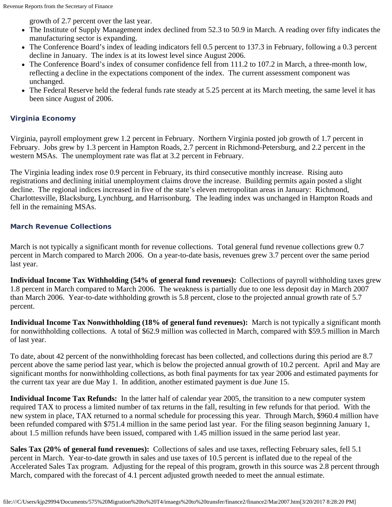growth of 2.7 percent over the last year.

- The Institute of Supply Management index declined from 52.3 to 50.9 in March. A reading over fifty indicates the manufacturing sector is expanding.
- The Conference Board's index of leading indicators fell 0.5 percent to 137.3 in February, following a 0.3 percent decline in January. The index is at its lowest level since August 2006.
- The Conference Board's index of consumer confidence fell from 111.2 to 107.2 in March, a three-month low, reflecting a decline in the expectations component of the index. The current assessment component was unchanged.
- The Federal Reserve held the federal funds rate steady at 5.25 percent at its March meeting, the same level it has been since August of 2006.

## **Virginia Economy**

Virginia, payroll employment grew 1.2 percent in February. Northern Virginia posted job growth of 1.7 percent in February. Jobs grew by 1.3 percent in Hampton Roads, 2.7 percent in Richmond-Petersburg, and 2.2 percent in the western MSAs. The unemployment rate was flat at 3.2 percent in February.

The Virginia leading index rose 0.9 percent in February, its third consecutive monthly increase. Rising auto registrations and declining initial unemployment claims drove the increase. Building permits again posted a slight decline. The regional indices increased in five of the state's eleven metropolitan areas in January: Richmond, Charlottesville, Blacksburg, Lynchburg, and Harrisonburg. The leading index was unchanged in Hampton Roads and fell in the remaining MSAs.

### **March Revenue Collections**

March is not typically a significant month for revenue collections. Total general fund revenue collections grew 0.7 percent in March compared to March 2006. On a year-to-date basis, revenues grew 3.7 percent over the same period last year.

**Individual Income Tax Withholding (54% of general fund revenues):** Collections of payroll withholding taxes grew 1.8 percent in March compared to March 2006. The weakness is partially due to one less deposit day in March 2007 than March 2006. Year-to-date withholding growth is 5.8 percent, close to the projected annual growth rate of 5.7 percent.

**Individual Income Tax Nonwithholding (18% of general fund revenues):** March is not typically a significant month for nonwithholding collections. A total of \$62.9 million was collected in March, compared with \$59.5 million in March of last year.

To date, about 42 percent of the nonwithholding forecast has been collected, and collections during this period are 8.7 percent above the same period last year, which is below the projected annual growth of 10.2 percent. April and May are significant months for nonwithholding collections, as both final payments for tax year 2006 and estimated payments for the current tax year are due May 1. In addition, another estimated payment is due June 15.

**Individual Income Tax Refunds:** In the latter half of calendar year 2005, the transition to a new computer system required TAX to process a limited number of tax returns in the fall, resulting in few refunds for that period. With the new system in place, TAX returned to a normal schedule for processing this year. Through March, \$960.4 million have been refunded compared with \$751.4 million in the same period last year. For the filing season beginning January 1, about 1.5 million refunds have been issued, compared with 1.45 million issued in the same period last year.

**Sales Tax (20% of general fund revenues):** Collections of sales and use taxes, reflecting February sales, fell 5.1 percent in March. Year-to-date growth in sales and use taxes of 10.5 percent is inflated due to the repeal of the Accelerated Sales Tax program. Adjusting for the repeal of this program, growth in this source was 2.8 percent through March, compared with the forecast of 4.1 percent adjusted growth needed to meet the annual estimate.